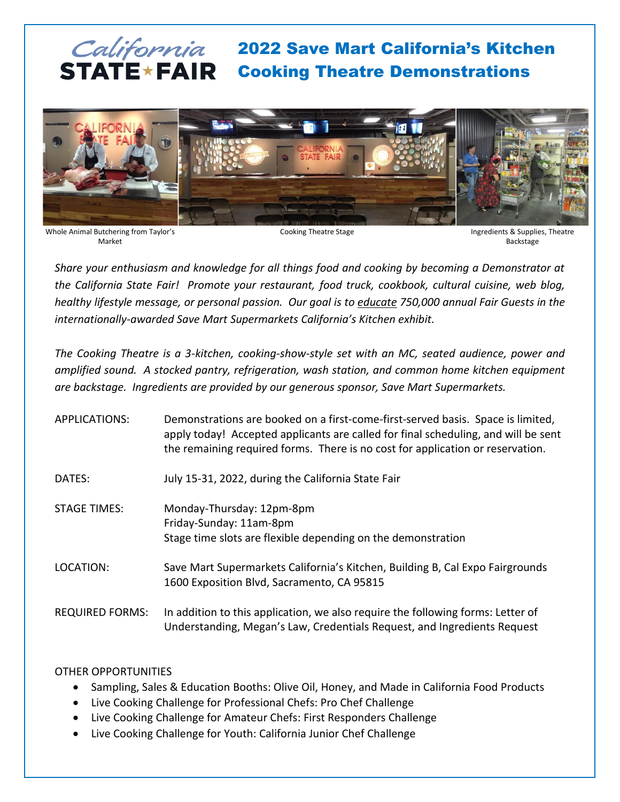# California 2022 Save Mart California's Kitchen STATE **\* FAIR** Cooking Theatre Demonstrations



Whole Animal Butchering from Taylor's Market

Cooking Theatre Stage Ingredients & Supplies, Theatre Backstage

*Share your enthusiasm and knowledge for all things food and cooking by becoming a Demonstrator at the California State Fair! Promote your restaurant, food truck, cookbook, cultural cuisine, web blog, healthy lifestyle message, or personal passion. Our goal is to educate 750,000 annual Fair Guests in the internationally-awarded Save Mart Supermarkets California's Kitchen exhibit.*

*The Cooking Theatre is a 3-kitchen, cooking-show-style set with an MC, seated audience, power and amplified sound. A stocked pantry, refrigeration, wash station, and common home kitchen equipment are backstage. Ingredients are provided by our generous sponsor, Save Mart Supermarkets.*

| APPLICATIONS: | Demonstrations are booked on a first-come-first-served basis. Space is limited,    |
|---------------|------------------------------------------------------------------------------------|
|               | apply today! Accepted applicants are called for final scheduling, and will be sent |
|               | the remaining required forms. There is no cost for application or reservation.     |
|               |                                                                                    |

DATES: July 15-31, 2022, during the California State Fair

- STAGE TIMES: Monday-Thursday: 12pm-8pm Friday-Sunday: 11am-8pm Stage time slots are flexible depending on the demonstration
- LOCATION: Save Mart Supermarkets California's Kitchen, Building B, Cal Expo Fairgrounds 1600 Exposition Blvd, Sacramento, CA 95815
- REQUIRED FORMS: In addition to this application, we also require the following forms: Letter of Understanding, Megan's Law, Credentials Request, and Ingredients Request

## OTHER OPPORTUNITIES

- Sampling, Sales & Education Booths: Olive Oil, Honey, and Made in California Food Products
- Live Cooking Challenge for Professional Chefs: Pro Chef Challenge
- Live Cooking Challenge for Amateur Chefs: First Responders Challenge
- Live Cooking Challenge for Youth: California Junior Chef Challenge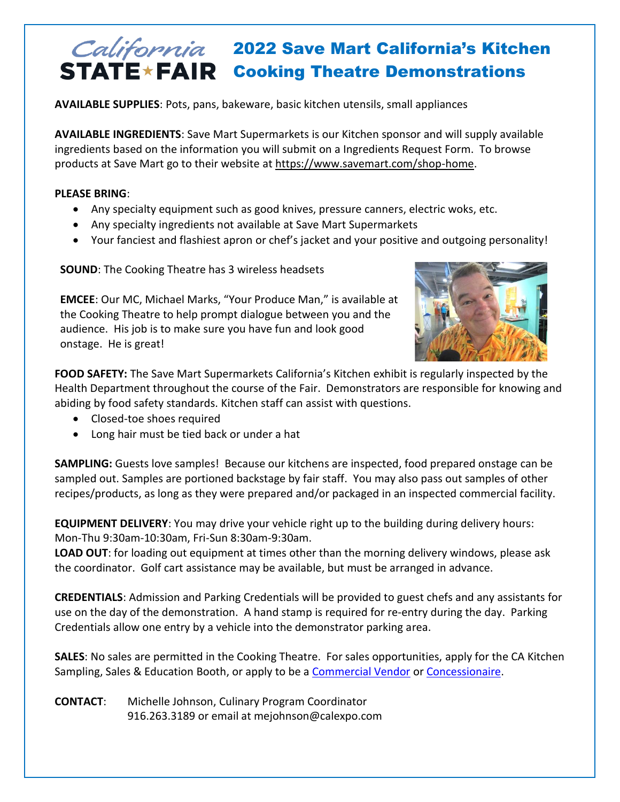## California 2022 Save Mart California's Kitchen STATE \* FAIR Cooking Theatre Demonstrations

**AVAILABLE SUPPLIES**: Pots, pans, bakeware, basic kitchen utensils, small appliances

**AVAILABLE INGREDIENTS**: Save Mart Supermarkets is our Kitchen sponsor and will supply available ingredients based on the information you will submit on a Ingredients Request Form. To browse products at Save Mart go to their website at [https://www.savemart.com/shop-home.](https://www.savemart.com/shop-home)

### **PLEASE BRING**:

- Any specialty equipment such as good knives, pressure canners, electric woks, etc.
- Any specialty ingredients not available at Save Mart Supermarkets
- Your fanciest and flashiest apron or chef's jacket and your positive and outgoing personality!

**SOUND**: The Cooking Theatre has 3 wireless headsets

**EMCEE**: Our MC, Michael Marks, "Your Produce Man," is available at the Cooking Theatre to help prompt dialogue between you and the audience. His job is to make sure you have fun and look good onstage. He is great!



**FOOD SAFETY:** The Save Mart Supermarkets California's Kitchen exhibit is regularly inspected by the Health Department throughout the course of the Fair. Demonstrators are responsible for knowing and abiding by food safety standards. Kitchen staff can assist with questions.

- Closed-toe shoes required
- Long hair must be tied back or under a hat

**SAMPLING:** Guests love samples! Because our kitchens are inspected, food prepared onstage can be sampled out. Samples are portioned backstage by fair staff. You may also pass out samples of other recipes/products, as long as they were prepared and/or packaged in an inspected commercial facility.

**EQUIPMENT DELIVERY**: You may drive your vehicle right up to the building during delivery hours: Mon-Thu 9:30am-10:30am, Fri-Sun 8:30am-9:30am.

**LOAD OUT**: for loading out equipment at times other than the morning delivery windows, please ask the coordinator. Golf cart assistance may be available, but must be arranged in advance.

**CREDENTIALS**: Admission and Parking Credentials will be provided to guest chefs and any assistants for use on the day of the demonstration. A hand stamp is required for re-entry during the day. Parking Credentials allow one entry by a vehicle into the demonstrator parking area.

**SALES**: No sales are permitted in the Cooking Theatre. For sales opportunities, apply for the CA Kitchen Sampling, Sales & Education Booth, or apply to be a [Commercial Vendor](http://www.castatefair.org/commercial-vendors/) or [Concessionaire.](http://www.castatefair.org/food-concessions/)

**CONTACT**: Michelle Johnson, Culinary Program Coordinator 916.263.3189 or email at mejohnson@calexpo.com